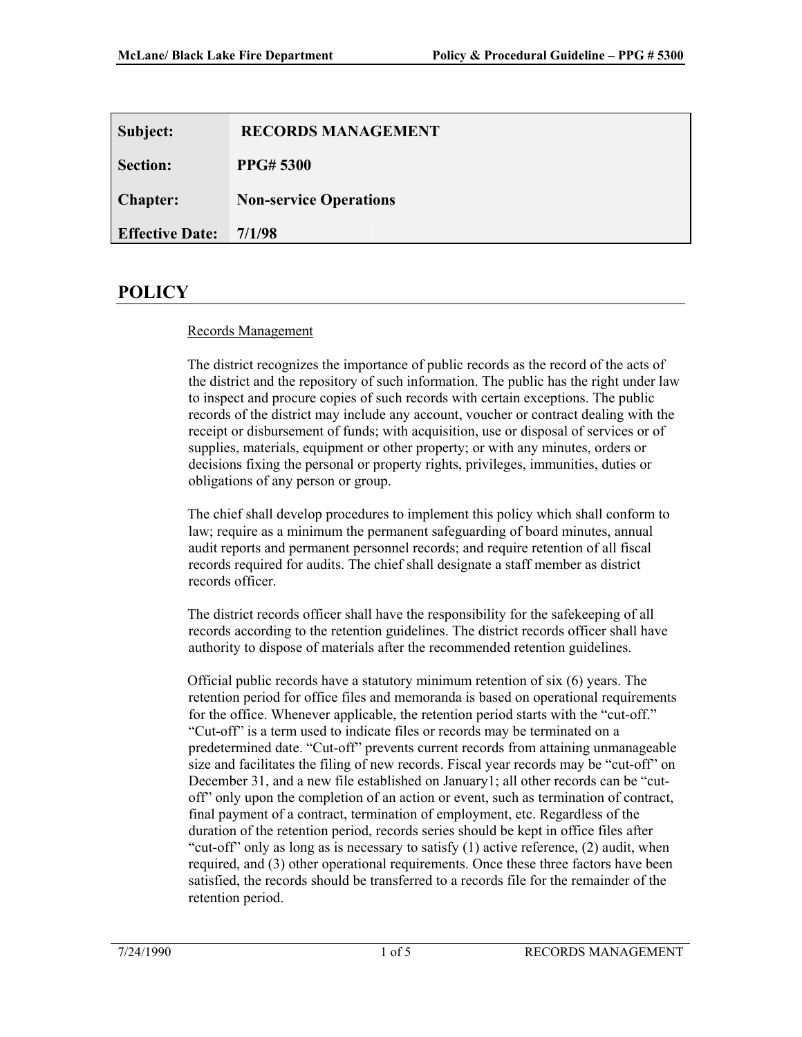| Subject:               | <b>RECORDS MANAGEMENT</b>     |
|------------------------|-------------------------------|
| <b>Section:</b>        | <b>PPG#5300</b>               |
| <b>Chapter:</b>        | <b>Non-service Operations</b> |
| <b>Effective Date:</b> | 7/1/98                        |

## **POLICY**

### Records Management

The district recognizes the importance of public records as the record of the acts of the district and the repository of such information. The public has the right under law to inspect and procure copies of such records with certain exceptions. The public records of the district may include any account, voucher or contract dealing with the receipt or disbursement of funds; with acquisition, use or disposal of services or of supplies, materials, equipment or other property; or with any minutes, orders or decisions fixing the personal or property rights, privileges, immunities, duties or obligations of any person or group.

The chief shall develop procedures to implement this policy which shall conform to law; require as a minimum the permanent safeguarding of board minutes, annual audit reports and permanent personnel records; and require retention of all fiscal records required for audits. The chief shall designate a staff member as district records officer.

The district records officer shall have the responsibility for the safekeeping of all records according to the retention guidelines. The district records officer shall have authority to dispose of materials after the recommended retention guidelines.

Official public records have a statutory minimum retention of six (6) years. The retention period for office files and memoranda is based on operational requirements for the office. Whenever applicable, the retention period starts with the "cut-off." "Cut-off" is a term used to indicate files or records may be terminated on a predetermined date. "Cut-off" prevents current records from attaining unmanageable size and facilitates the filing of new records. Fiscal year records may be "cut-off" on December 31, and a new file established on January1; all other records can be "cutoff" only upon the completion of an action or event, such as termination of contract, final payment of a contract, termination of employment, etc. Regardless of the duration of the retention period, records series should be kept in office files after "cut-off" only as long as is necessary to satisfy (1) active reference, (2) audit, when required, and (3) other operational requirements. Once these three factors have been satisfied, the records should be transferred to a records file for the remainder of the retention period.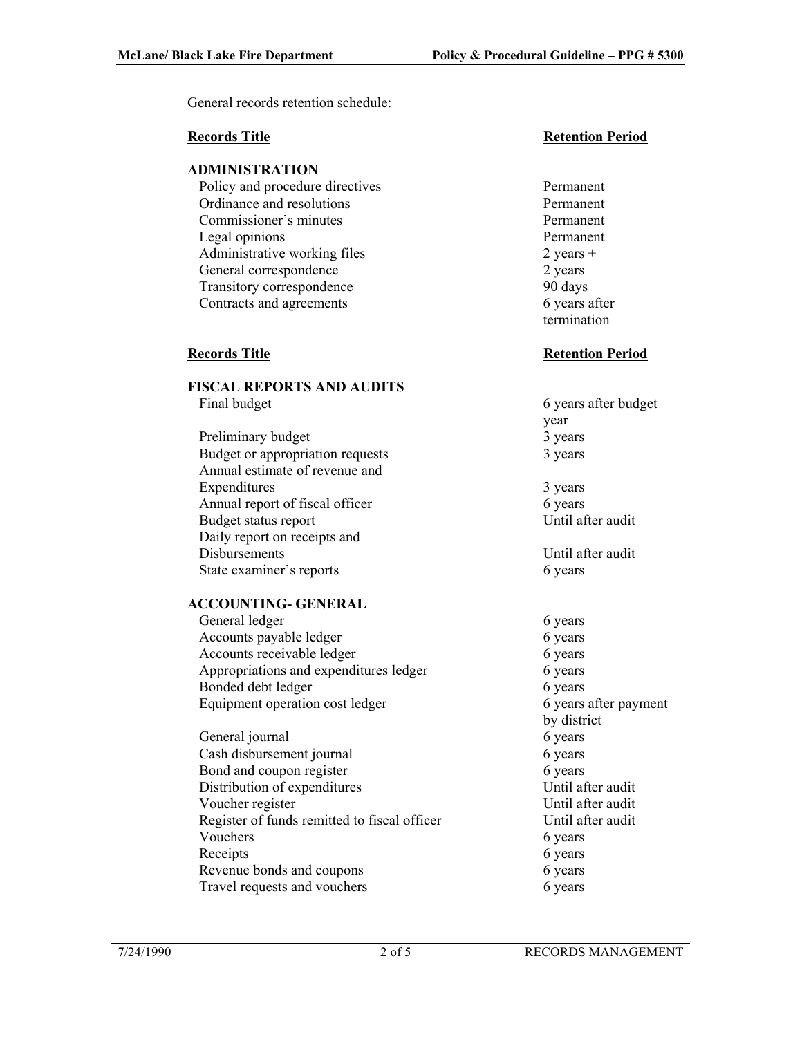General records retention schedule:

#### **ADMINISTRATION**

Policy and procedure directives Permanent Ordinance and resolutions Permanent Commissioner's minutes Permanent Legal opinions Permanent Administrative working files  $2 \text{ years} +$ General correspondence 2 years Transitory correspondence 90 days Contracts and agreements 6 years after

## **FISCAL REPORTS AND AUDITS**

- 
- Preliminary budget 3 years 3 years Budget or appropriation requests 3 years Annual estimate of revenue and Expenditures 3 years 3 years Annual report of fiscal officer 6 years Budget status report Until after audit Daily report on receipts and Disbursements Until after audit State examiner's reports 6 years 6 years

### **ACCOUNTING- GENERAL**

General ledger 6 years 6 years Accounts payable ledger 6 years Accounts receivable ledger 6 years Appropriations and expenditures ledger 6 years Bonded debt ledger 6 years 6 years Equipment operation cost ledger 6 years after payment

General journal 6 years 6 years Cash disbursement journal 6 years 6 Bond and coupon register 6 years 6 Distribution of expenditures Until after audit Voucher register Until after audit Register of funds remitted to fiscal officer Until after audit Vouchers 6 years 6 years Receipts 6 years 6 years Revenue bonds and coupons 6 years 6 years Travel requests and vouchers 6 years 6 years

### **Records Title Retention Period**

termination

#### **Records Title Retention Period**

- Final budget 6 years after budget year
	-

by district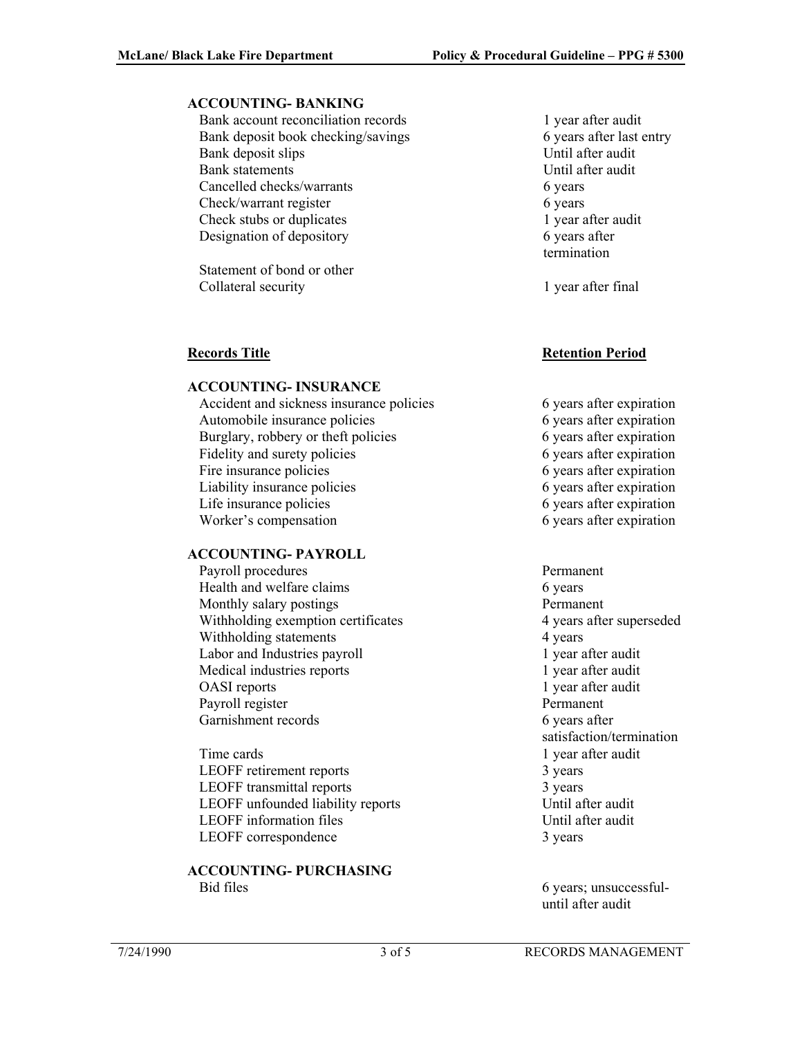#### **ACCOUNTING- BANKING**

Bank account reconciliation records 1 year after audit Bank deposit book checking/savings 6 years after last entry Bank deposit slips Until after audit Bank statements Until after audit Cancelled checks/warrants 6 years 6 Check/warrant register 6 years 6 Check stubs or duplicates 1 year after audit Designation of depository 6 years after

Statement of bond or other Collateral security 1 year after final

#### **ACCOUNTING- INSURANCE**

Accident and sickness insurance policies 6 years after expiration Automobile insurance policies 6 years after expiration Burglary, robbery or theft policies 6 years after expiration Fidelity and surety policies 6 years after expiration Fire insurance policies 6 years after expiration Liability insurance policies 6 years after expiration Life insurance policies 6 years after expiration Worker's compensation 6 years after expiration

### **ACCOUNTING- PAYROLL**

Payroll procedures Permanent Health and welfare claims 6 years 6 years Monthly salary postings Permanent Withholding exemption certificates 4 years after superseded Withholding statements 4 years 4 4 years Labor and Industries payroll 1 year after audit Medical industries reports 1 year after audit OASI reports 1 year after audit Payroll register Permanent Garnishment records 6 years after

Time cards Time cards and the cards and the cards and the cards and the card of the card of the card of the card of the card of the card of the card of the card of the card of the card of the card of the card of the card o LEOFF retirement reports 3 years LEOFF transmittal reports 3 years LEOFF unfounded liability reports Until after audit LEOFF information files Until after audit LEOFF correspondence 3 years

#### **ACCOUNTING- PURCHASING**  Bid files 6 years; unsuccessful-

termination

### **Records Title Retention Period**

- 
- satisfaction/termination

until after audit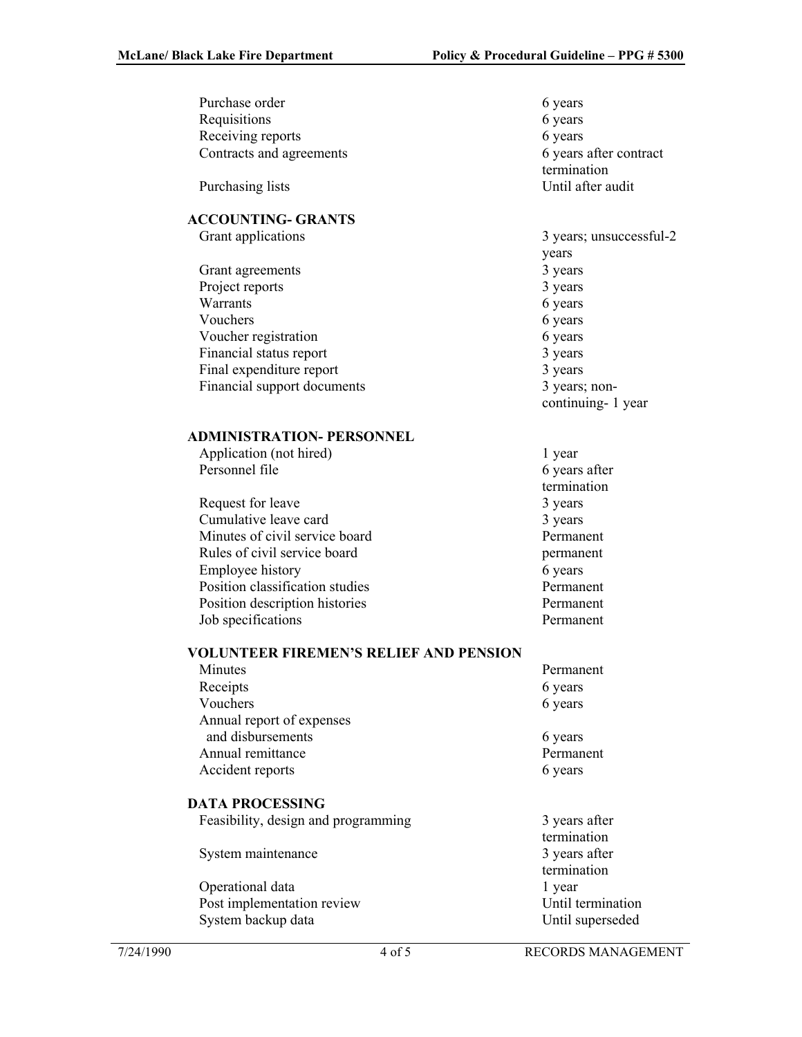| Purchase order                         | 6 years                 |
|----------------------------------------|-------------------------|
| Requisitions                           | 6 years                 |
| Receiving reports                      | 6 years                 |
|                                        |                         |
| Contracts and agreements               | 6 years after contract  |
|                                        | termination             |
| Purchasing lists                       | Until after audit       |
|                                        |                         |
| <b>ACCOUNTING- GRANTS</b>              |                         |
|                                        |                         |
| Grant applications                     | 3 years; unsuccessful-2 |
|                                        | years                   |
| Grant agreements                       | 3 years                 |
| Project reports                        | 3 years                 |
| Warrants                               | 6 years                 |
| Vouchers                               |                         |
|                                        | 6 years                 |
| Voucher registration                   | 6 years                 |
| Financial status report                | 3 years                 |
| Final expenditure report               | 3 years                 |
| Financial support documents            | 3 years; non-           |
|                                        | continuing-1 year       |
|                                        |                         |
|                                        |                         |
| <b>ADMINISTRATION- PERSONNEL</b>       |                         |
| Application (not hired)                | 1 year                  |
| Personnel file                         | 6 years after           |
|                                        | termination             |
| Request for leave                      | 3 years                 |
| Cumulative leave card                  | 3 years                 |
| Minutes of civil service board         | Permanent               |
|                                        |                         |
| Rules of civil service board           | permanent               |
| Employee history                       | 6 years                 |
| Position classification studies        | Permanent               |
| Position description histories         | Permanent               |
| Job specifications                     | Permanent               |
|                                        |                         |
| VOLUNTEER FIREMEN'S RELIEF AND PENSION |                         |
|                                        |                         |
| Minutes                                | Permanent               |
| Receipts                               | 6 years                 |
| Vouchers                               | 6 years                 |
| Annual report of expenses              |                         |
| and disbursements                      | 6 years                 |
| Annual remittance                      | Permanent               |
| Accident reports                       | 6 years                 |
|                                        |                         |
| <b>DATA PROCESSING</b>                 |                         |
|                                        |                         |
| Feasibility, design and programming    | 3 years after           |
|                                        | termination             |
| System maintenance                     | 3 years after           |
|                                        | termination             |
| Operational data                       | 1 year                  |
| Post implementation review             | Until termination       |
| System backup data                     | Until superseded        |
|                                        |                         |